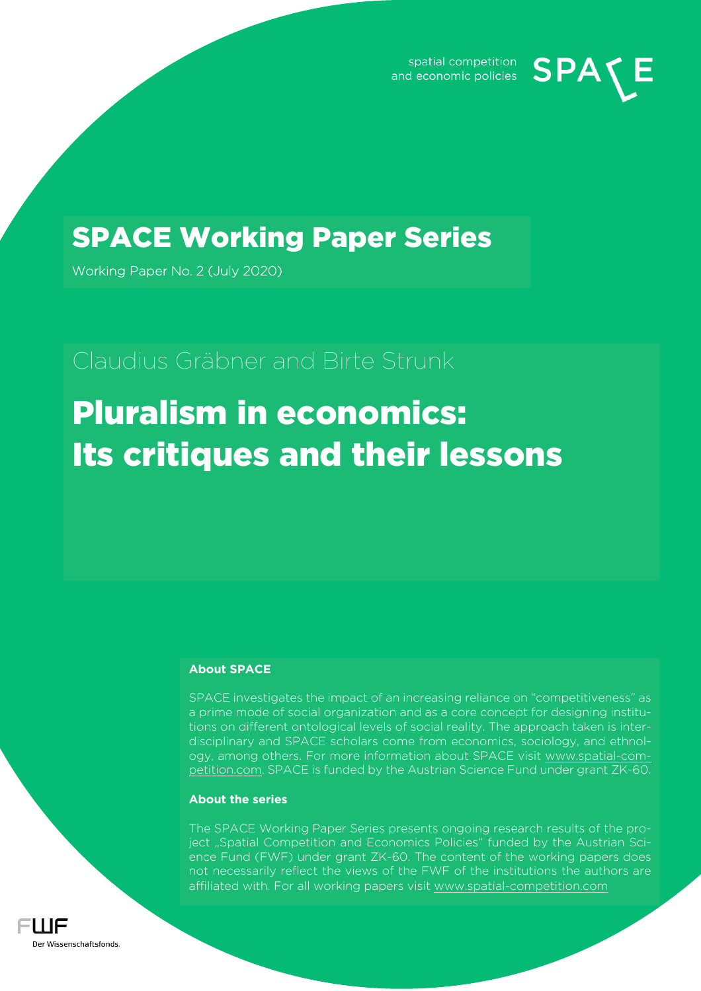spatial competition spatial competition **SPA** 



Working Paper No. 2 (July 2020)

## Claudius Gräbner and Birte Strunk

# Pluralism in economics: Its critiques and their lessons

#### **About SPACE**

SPACE investigates the impact of an increasing reliance on "competitiveness" as a prime mode of social organization and as a core concept for designing institutions on different ontological levels of social reality. The approach taken is interdisciplinary and SPACE scholars come from economics, sociology, and ethnology, among others. For more information about SPACE visit www.spatial-competition.com. SPACE is funded by the Austrian Science Fund under grant ZK-60.

#### **About the series**

The SPACE Working Paper Series presents ongoing research results of the project "Spatial Competition and Economics Policies" funded by the Austrian Science Fund (FWF) under grant ZK-60. The content of the working papers does not necessarily reflect the views of the FWF of the institutions the authors are affiliated with. For all working papers visit www.spatial-competition.com

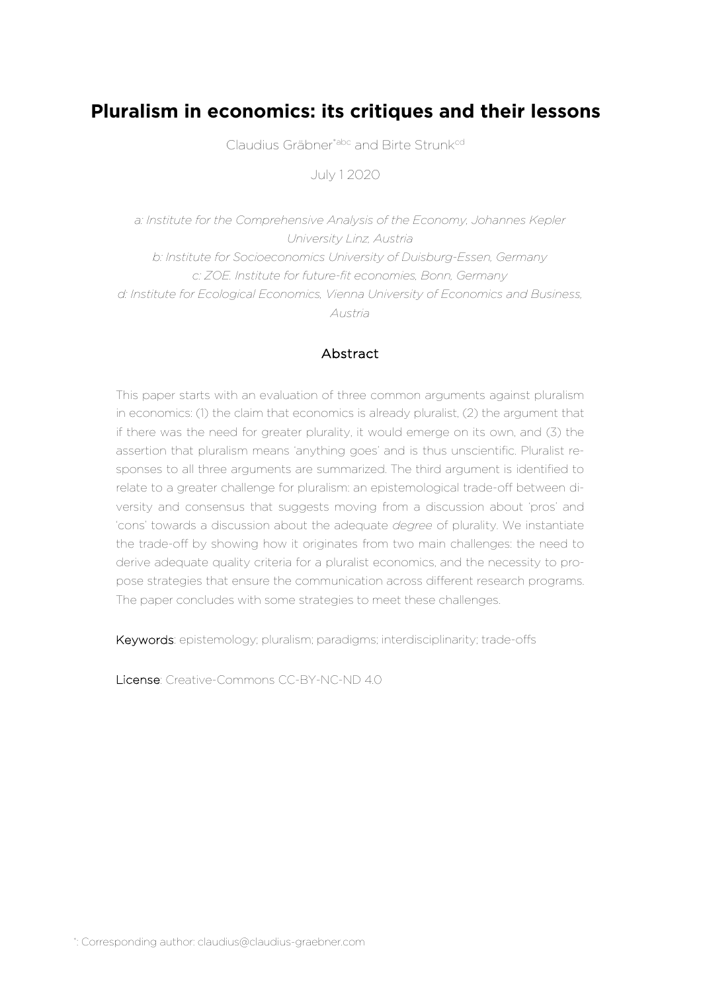## **Pluralism in economics: its critiques and their lessons**

Claudius Gräbner<sup>\*abc</sup> and Birte Strunk<sup>ed</sup>

July 1 2020

*a: Institute for the Comprehensive Analysis of the Economy, Johannes Kepler University Linz, Austria b: Institute for Socioeconomics University of Duisburg-Essen, Germany c: ZOE. Institute for future-fit economies, Bonn, Germany d: Institute for Ecological Economics, Vienna University of Economics and Business, Austria*

#### Abstract

This paper starts with an evaluation of three common arguments against pluralism in economics: (1) the claim that economics is already pluralist, (2) the argument that if there was the need for greater plurality, it would emerge on its own, and (3) the assertion that pluralism means 'anything goes' and is thus unscientific. Pluralist responses to all three arguments are summarized. The third argument is identified to relate to a greater challenge for pluralism: an epistemological trade-off between diversity and consensus that suggests moving from a discussion about 'pros' and 'cons' towards a discussion about the adequate *degree* of plurality. We instantiate the trade-off by showing how it originates from two main challenges: the need to derive adequate quality criteria for a pluralist economics, and the necessity to propose strategies that ensure the communication across different research programs. The paper concludes with some strategies to meet these challenges.

Keywords: epistemology; pluralism; paradigms; interdisciplinarity; trade-offs

License: Creative-Commons CC-BY-NC-ND 4.0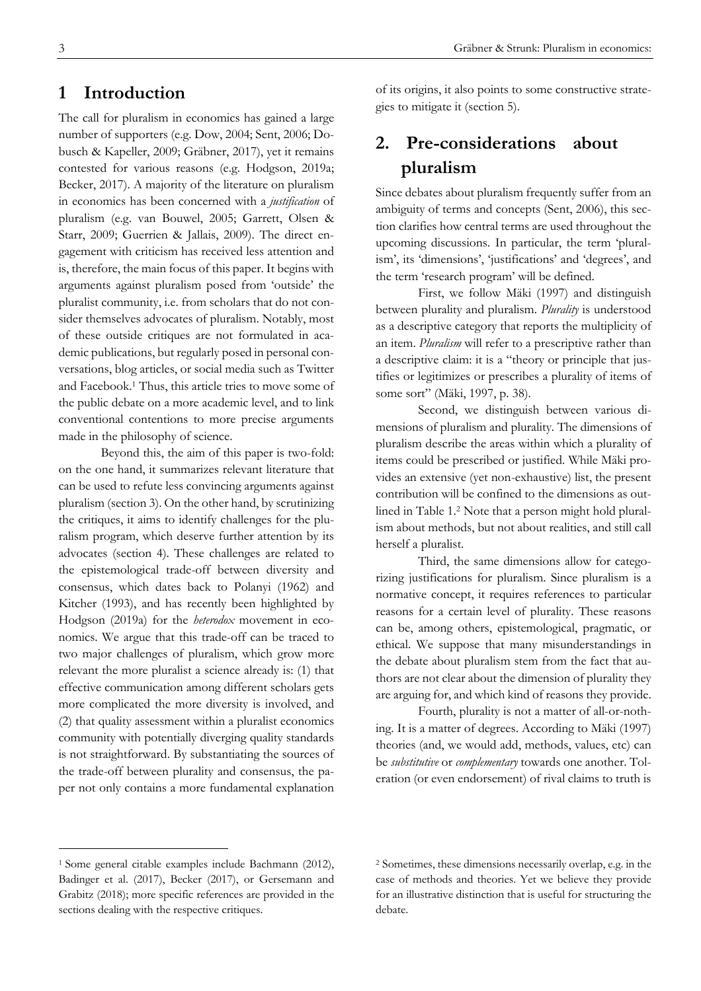#### **1 Introduction**

The call for pluralism in economics has gained a large number of supporters (e.g. Dow, 2004; Sent, 2006; Dobusch & Kapeller, 2009; Gräbner, 2017), yet it remains contested for various reasons (e.g. Hodgson, 2019a; Becker, 2017). A majority of the literature on pluralism in economics has been concerned with a *justification* of pluralism (e.g. van Bouwel, 2005; Garrett, Olsen & Starr, 2009; Guerrien & Jallais, 2009). The direct engagement with criticism has received less attention and is, therefore, the main focus of this paper. It begins with arguments against pluralism posed from 'outside' the pluralist community, i.e. from scholars that do not consider themselves advocates of pluralism. Notably, most of these outside critiques are not formulated in academic publications, but regularly posed in personal conversations, blog articles, or social media such as Twitter and Facebook.1 Thus, this article tries to move some of the public debate on a more academic level, and to link conventional contentions to more precise arguments made in the philosophy of science.

Beyond this, the aim of this paper is two-fold: on the one hand, it summarizes relevant literature that can be used to refute less convincing arguments against pluralism (section 3). On the other hand, by scrutinizing the critiques, it aims to identify challenges for the pluralism program, which deserve further attention by its advocates (section 4). These challenges are related to the epistemological trade-off between diversity and consensus, which dates back to Polanyi (1962) and Kitcher (1993), and has recently been highlighted by Hodgson (2019a) for the *heterodox* movement in economics. We argue that this trade-off can be traced to two major challenges of pluralism, which grow more relevant the more pluralist a science already is: (1) that effective communication among different scholars gets more complicated the more diversity is involved, and (2) that quality assessment within a pluralist economics community with potentially diverging quality standards is not straightforward. By substantiating the sources of the trade-off between plurality and consensus, the paper not only contains a more fundamental explanation

of its origins, it also points to some constructive strategies to mitigate it (section 5).

## **2. Pre-considerations about pluralism**

Since debates about pluralism frequently suffer from an ambiguity of terms and concepts (Sent, 2006), this section clarifies how central terms are used throughout the upcoming discussions. In particular, the term 'pluralism', its 'dimensions', 'justifications' and 'degrees', and the term 'research program' will be defined.

First, we follow Mäki (1997) and distinguish between plurality and pluralism. *Plurality* is understood as a descriptive category that reports the multiplicity of an item. *Pluralism* will refer to a prescriptive rather than a descriptive claim: it is a "theory or principle that justifies or legitimizes or prescribes a plurality of items of some sort" (Mäki, 1997, p. 38).

Second, we distinguish between various dimensions of pluralism and plurality. The dimensions of pluralism describe the areas within which a plurality of items could be prescribed or justified. While Mäki provides an extensive (yet non-exhaustive) list, the present contribution will be confined to the dimensions as outlined in Table 1.2 Note that a person might hold pluralism about methods, but not about realities, and still call herself a pluralist.

Third, the same dimensions allow for categorizing justifications for pluralism. Since pluralism is a normative concept, it requires references to particular reasons for a certain level of plurality. These reasons can be, among others, epistemological, pragmatic, or ethical. We suppose that many misunderstandings in the debate about pluralism stem from the fact that authors are not clear about the dimension of plurality they are arguing for, and which kind of reasons they provide.

Fourth, plurality is not a matter of all-or-nothing. It is a matter of degrees. According to Mäki (1997) theories (and, we would add, methods, values, etc) can be *substitutive* or *complementary* towards one another. Toleration (or even endorsement) of rival claims to truth is

<sup>1</sup> Some general citable examples include Bachmann (2012), Badinger et al. (2017), Becker (2017), or Gersemann and Grabitz (2018); more specific references are provided in the sections dealing with the respective critiques.

<sup>2</sup> Sometimes, these dimensions necessarily overlap, e.g. in the case of methods and theories. Yet we believe they provide for an illustrative distinction that is useful for structuring the debate.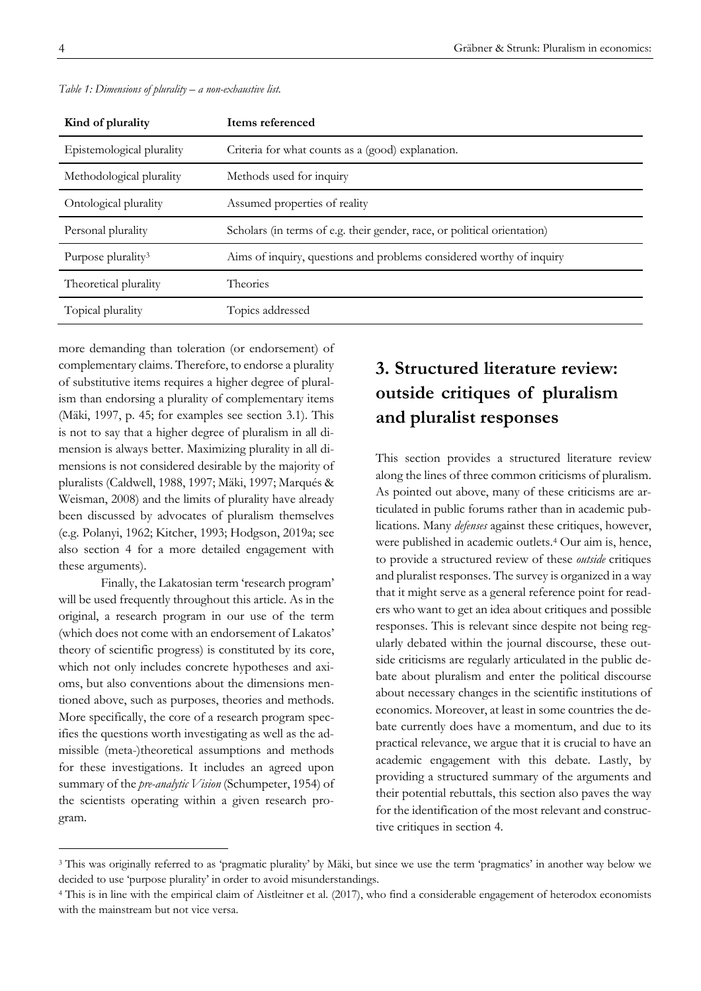| Kind of plurality              | Items referenced                                                         |  |
|--------------------------------|--------------------------------------------------------------------------|--|
| Epistemological plurality      | Criteria for what counts as a (good) explanation.                        |  |
| Methodological plurality       | Methods used for inquiry                                                 |  |
| Ontological plurality          | Assumed properties of reality                                            |  |
| Personal plurality             | Scholars (in terms of e.g. their gender, race, or political orientation) |  |
| Purpose plurality <sup>3</sup> | Aims of inquiry, questions and problems considered worthy of inquiry     |  |
| Theoretical plurality          | <b>Theories</b>                                                          |  |
| Topical plurality              | Topics addressed                                                         |  |

*Table 1: Dimensions of plurality – a non-exhaustive list.*

more demanding than toleration (or endorsement) of complementary claims. Therefore, to endorse a plurality of substitutive items requires a higher degree of pluralism than endorsing a plurality of complementary items (Mäki, 1997, p. 45; for examples see section 3.1). This is not to say that a higher degree of pluralism in all dimension is always better. Maximizing plurality in all dimensions is not considered desirable by the majority of pluralists (Caldwell, 1988, 1997; Mäki, 1997; Marqués & Weisman, 2008) and the limits of plurality have already been discussed by advocates of pluralism themselves (e.g. Polanyi, 1962; Kitcher, 1993; Hodgson, 2019a; see also section 4 for a more detailed engagement with these arguments).

Finally, the Lakatosian term 'research program' will be used frequently throughout this article. As in the original, a research program in our use of the term (which does not come with an endorsement of Lakatos' theory of scientific progress) is constituted by its core, which not only includes concrete hypotheses and axioms, but also conventions about the dimensions mentioned above, such as purposes, theories and methods. More specifically, the core of a research program specifies the questions worth investigating as well as the admissible (meta-)theoretical assumptions and methods for these investigations. It includes an agreed upon summary of the *pre-analytic Vision* (Schumpeter, 1954) of the scientists operating within a given research program.

## **3. Structured literature review: outside critiques of pluralism and pluralist responses**

This section provides a structured literature review along the lines of three common criticisms of pluralism. As pointed out above, many of these criticisms are articulated in public forums rather than in academic publications. Many *defenses* against these critiques, however, were published in academic outlets.4 Our aim is, hence, to provide a structured review of these *outside* critiques and pluralist responses. The survey is organized in a way that it might serve as a general reference point for readers who want to get an idea about critiques and possible responses. This is relevant since despite not being regularly debated within the journal discourse, these outside criticisms are regularly articulated in the public debate about pluralism and enter the political discourse about necessary changes in the scientific institutions of economics. Moreover, at least in some countries the debate currently does have a momentum, and due to its practical relevance, we argue that it is crucial to have an academic engagement with this debate. Lastly, by providing a structured summary of the arguments and their potential rebuttals, this section also paves the way for the identification of the most relevant and constructive critiques in section 4.

<sup>&</sup>lt;sup>3</sup> This was originally referred to as 'pragmatic plurality' by Mäki, but since we use the term 'pragmatics' in another way below we decided to use 'purpose plurality' in order to avoid misunderstandings.

<sup>4</sup> This is in line with the empirical claim of Aistleitner et al. (2017), who find a considerable engagement of heterodox economists with the mainstream but not vice versa.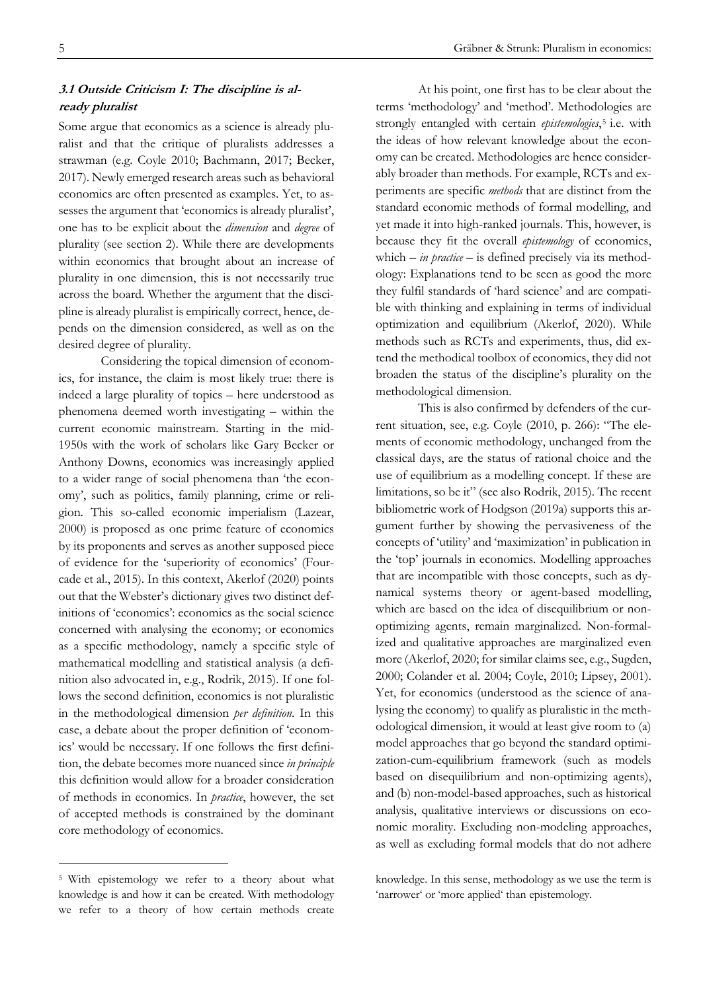#### **3.1 Outside Criticism I: The discipline is already pluralist**

Some argue that economics as a science is already pluralist and that the critique of pluralists addresses a strawman (e.g. Coyle 2010; Bachmann, 2017; Becker, 2017). Newly emerged research areas such as behavioral economics are often presented as examples. Yet, to assesses the argument that 'economics is already pluralist', one has to be explicit about the *dimension* and *degree* of plurality (see section 2). While there are developments within economics that brought about an increase of plurality in one dimension, this is not necessarily true across the board. Whether the argument that the discipline is already pluralist is empirically correct, hence, depends on the dimension considered, as well as on the desired degree of plurality.

Considering the topical dimension of economics, for instance, the claim is most likely true: there is indeed a large plurality of topics – here understood as phenomena deemed worth investigating – within the current economic mainstream. Starting in the mid-1950s with the work of scholars like Gary Becker or Anthony Downs, economics was increasingly applied to a wider range of social phenomena than 'the economy', such as politics, family planning, crime or religion. This so-called economic imperialism (Lazear, 2000) is proposed as one prime feature of economics by its proponents and serves as another supposed piece of evidence for the 'superiority of economics' (Fourcade et al., 2015). In this context, Akerlof (2020) points out that the Webster's dictionary gives two distinct definitions of 'economics': economics as the social science concerned with analysing the economy; or economics as a specific methodology, namely a specific style of mathematical modelling and statistical analysis (a definition also advocated in, e.g., Rodrik, 2015). If one follows the second definition, economics is not pluralistic in the methodological dimension *per definition*. In this case, a debate about the proper definition of 'economics' would be necessary. If one follows the first definition, the debate becomes more nuanced since *in principle* this definition would allow for a broader consideration of methods in economics. In *practice*, however, the set of accepted methods is constrained by the dominant core methodology of economics.

At his point, one first has to be clear about the terms 'methodology' and 'method'. Methodologies are strongly entangled with certain *epistemologies*,<sup>5</sup> i.e. with the ideas of how relevant knowledge about the economy can be created. Methodologies are hence considerably broader than methods. For example, RCTs and experiments are specific *methods* that are distinct from the standard economic methods of formal modelling, and yet made it into high-ranked journals. This, however, is because they fit the overall *epistemology* of economics, which – *in practice* – is defined precisely via its methodology: Explanations tend to be seen as good the more they fulfil standards of 'hard science' and are compatible with thinking and explaining in terms of individual optimization and equilibrium (Akerlof, 2020). While methods such as RCTs and experiments, thus, did extend the methodical toolbox of economics, they did not broaden the status of the discipline's plurality on the methodological dimension.

This is also confirmed by defenders of the current situation, see, e.g. Coyle (2010, p. 266): "The elements of economic methodology, unchanged from the classical days, are the status of rational choice and the use of equilibrium as a modelling concept. If these are limitations, so be it" (see also Rodrik, 2015). The recent bibliometric work of Hodgson (2019a) supports this argument further by showing the pervasiveness of the concepts of 'utility' and 'maximization' in publication in the 'top' journals in economics. Modelling approaches that are incompatible with those concepts, such as dynamical systems theory or agent-based modelling, which are based on the idea of disequilibrium or nonoptimizing agents, remain marginalized. Non-formalized and qualitative approaches are marginalized even more (Akerlof, 2020; for similar claims see, e.g., Sugden, 2000; Colander et al. 2004; Coyle, 2010; Lipsey, 2001). Yet, for economics (understood as the science of analysing the economy) to qualify as pluralistic in the methodological dimension, it would at least give room to (a) model approaches that go beyond the standard optimization-cum-equilibrium framework (such as models based on disequilibrium and non-optimizing agents), and (b) non-model-based approaches, such as historical analysis, qualitative interviews or discussions on economic morality. Excluding non-modeling approaches, as well as excluding formal models that do not adhere

#### knowledge. In this sense, methodology as we use the term is 'narrower' or 'more applied' than epistemology.

<sup>5</sup> With epistemology we refer to a theory about what knowledge is and how it can be created. With methodology we refer to a theory of how certain methods create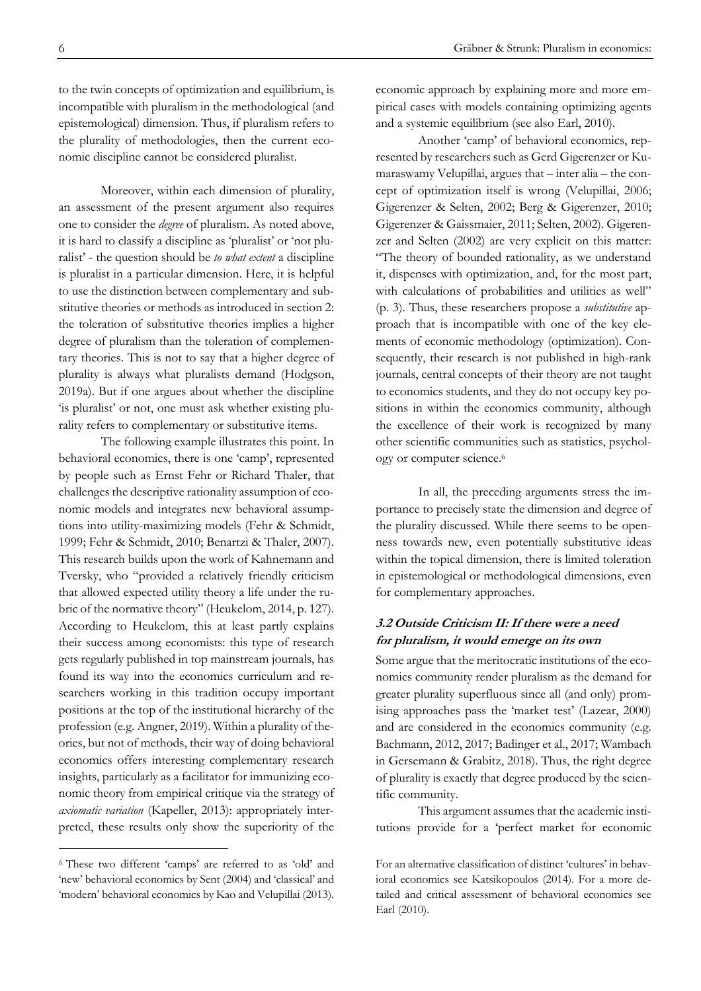to the twin concepts of optimization and equilibrium, is incompatible with pluralism in the methodological (and epistemological) dimension. Thus, if pluralism refers to the plurality of methodologies, then the current economic discipline cannot be considered pluralist.

Moreover, within each dimension of plurality, an assessment of the present argument also requires one to consider the *degree* of pluralism. As noted above, it is hard to classify a discipline as 'pluralist' or 'not pluralist' - the question should be *to what extent* a discipline is pluralist in a particular dimension. Here, it is helpful to use the distinction between complementary and substitutive theories or methods as introduced in section 2: the toleration of substitutive theories implies a higher degree of pluralism than the toleration of complementary theories. This is not to say that a higher degree of plurality is always what pluralists demand (Hodgson, 2019a). But if one argues about whether the discipline 'is pluralist' or not, one must ask whether existing plurality refers to complementary or substitutive items.

The following example illustrates this point. In behavioral economics, there is one 'camp', represented by people such as Ernst Fehr or Richard Thaler, that challenges the descriptive rationality assumption of economic models and integrates new behavioral assumptions into utility-maximizing models (Fehr & Schmidt, 1999; Fehr & Schmidt, 2010; Benartzi & Thaler, 2007). This research builds upon the work of Kahnemann and Tversky, who "provided a relatively friendly criticism that allowed expected utility theory a life under the rubric of the normative theory" (Heukelom, 2014, p. 127). According to Heukelom, this at least partly explains their success among economists: this type of research gets regularly published in top mainstream journals, has found its way into the economics curriculum and researchers working in this tradition occupy important positions at the top of the institutional hierarchy of the profession (e.g. Angner, 2019). Within a plurality of theories, but not of methods, their way of doing behavioral economics offers interesting complementary research insights, particularly as a facilitator for immunizing economic theory from empirical critique via the strategy of *axiomatic variation* (Kapeller, 2013): appropriately interpreted, these results only show the superiority of the

economic approach by explaining more and more empirical cases with models containing optimizing agents and a systemic equilibrium (see also Earl, 2010).

Another 'camp' of behavioral economics, represented by researchers such as Gerd Gigerenzer or Kumaraswamy Velupillai, argues that – inter alia – the concept of optimization itself is wrong (Velupillai, 2006; Gigerenzer & Selten, 2002; Berg & Gigerenzer, 2010; Gigerenzer & Gaissmaier, 2011; Selten, 2002). Gigerenzer and Selten (2002) are very explicit on this matter: "The theory of bounded rationality, as we understand it, dispenses with optimization, and, for the most part, with calculations of probabilities and utilities as well" (p. 3). Thus, these researchers propose a *substitutive* approach that is incompatible with one of the key elements of economic methodology (optimization). Consequently, their research is not published in high-rank journals, central concepts of their theory are not taught to economics students, and they do not occupy key positions in within the economics community, although the excellence of their work is recognized by many other scientific communities such as statistics, psychology or computer science.6

In all, the preceding arguments stress the importance to precisely state the dimension and degree of the plurality discussed. While there seems to be openness towards new, even potentially substitutive ideas within the topical dimension, there is limited toleration in epistemological or methodological dimensions, even for complementary approaches.

#### **3.2 Outside Criticism II: If there were a need for pluralism, it would emerge on its own**

Some argue that the meritocratic institutions of the economics community render pluralism as the demand for greater plurality superfluous since all (and only) promising approaches pass the 'market test' (Lazear, 2000) and are considered in the economics community (e.g. Bachmann, 2012, 2017; Badinger et al., 2017; Wambach in Gersemann & Grabitz, 2018). Thus, the right degree of plurality is exactly that degree produced by the scientific community.

This argument assumes that the academic institutions provide for a 'perfect market for economic

<sup>6</sup> These two different 'camps' are referred to as 'old' and 'new' behavioral economics by Sent (2004) and 'classical' and 'modern' behavioral economics by Kao and Velupillai (2013).

For an alternative classification of distinct 'cultures' in behavioral economics see Katsikopoulos (2014). For a more detailed and critical assessment of behavioral economics see Earl (2010).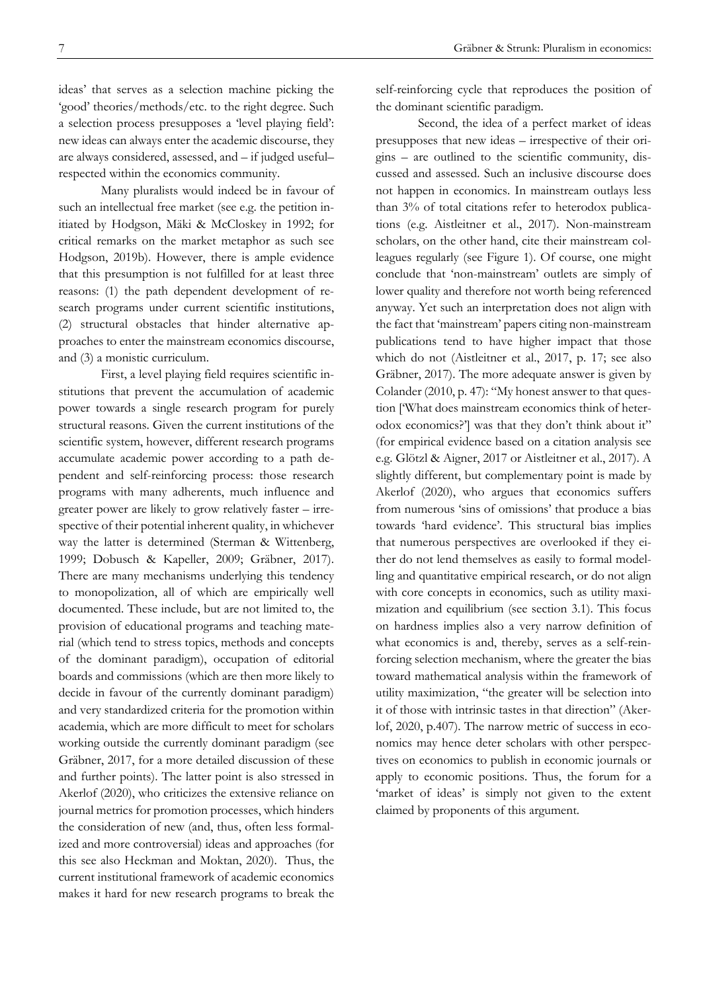ideas' that serves as a selection machine picking the 'good' theories/methods/etc. to the right degree. Such a selection process presupposes a 'level playing field': new ideas can always enter the academic discourse, they are always considered, assessed, and – if judged useful– respected within the economics community.

Many pluralists would indeed be in favour of such an intellectual free market (see e.g. the petition initiated by Hodgson, Mäki & McCloskey in 1992; for critical remarks on the market metaphor as such see Hodgson, 2019b). However, there is ample evidence that this presumption is not fulfilled for at least three reasons: (1) the path dependent development of research programs under current scientific institutions, (2) structural obstacles that hinder alternative approaches to enter the mainstream economics discourse, and (3) a monistic curriculum.

First, a level playing field requires scientific institutions that prevent the accumulation of academic power towards a single research program for purely structural reasons. Given the current institutions of the scientific system, however, different research programs accumulate academic power according to a path dependent and self-reinforcing process: those research programs with many adherents, much influence and greater power are likely to grow relatively faster – irrespective of their potential inherent quality, in whichever way the latter is determined (Sterman & Wittenberg, 1999; Dobusch & Kapeller, 2009; Gräbner, 2017). There are many mechanisms underlying this tendency to monopolization, all of which are empirically well documented. These include, but are not limited to, the provision of educational programs and teaching material (which tend to stress topics, methods and concepts of the dominant paradigm), occupation of editorial boards and commissions (which are then more likely to decide in favour of the currently dominant paradigm) and very standardized criteria for the promotion within academia, which are more difficult to meet for scholars working outside the currently dominant paradigm (see Gräbner, 2017, for a more detailed discussion of these and further points). The latter point is also stressed in Akerlof (2020), who criticizes the extensive reliance on journal metrics for promotion processes, which hinders the consideration of new (and, thus, often less formalized and more controversial) ideas and approaches (for this see also Heckman and Moktan, 2020). Thus, the current institutional framework of academic economics makes it hard for new research programs to break the

self-reinforcing cycle that reproduces the position of the dominant scientific paradigm.

Second, the idea of a perfect market of ideas presupposes that new ideas – irrespective of their origins – are outlined to the scientific community, discussed and assessed. Such an inclusive discourse does not happen in economics. In mainstream outlays less than 3% of total citations refer to heterodox publications (e.g. Aistleitner et al., 2017). Non-mainstream scholars, on the other hand, cite their mainstream colleagues regularly (see Figure 1). Of course, one might conclude that 'non-mainstream' outlets are simply of lower quality and therefore not worth being referenced anyway. Yet such an interpretation does not align with the fact that 'mainstream' papers citing non-mainstream publications tend to have higher impact that those which do not (Aistleitner et al., 2017, p. 17; see also Gräbner, 2017). The more adequate answer is given by Colander (2010, p. 47): "My honest answer to that question ['What does mainstream economics think of heterodox economics?'] was that they don't think about it" (for empirical evidence based on a citation analysis see e.g. Glötzl & Aigner, 2017 or Aistleitner et al., 2017). A slightly different, but complementary point is made by Akerlof (2020), who argues that economics suffers from numerous 'sins of omissions' that produce a bias towards 'hard evidence'. This structural bias implies that numerous perspectives are overlooked if they either do not lend themselves as easily to formal modelling and quantitative empirical research, or do not align with core concepts in economics, such as utility maximization and equilibrium (see section 3.1). This focus on hardness implies also a very narrow definition of what economics is and, thereby, serves as a self-reinforcing selection mechanism, where the greater the bias toward mathematical analysis within the framework of utility maximization, "the greater will be selection into it of those with intrinsic tastes in that direction" (Akerlof, 2020, p.407). The narrow metric of success in economics may hence deter scholars with other perspectives on economics to publish in economic journals or apply to economic positions. Thus, the forum for a 'market of ideas' is simply not given to the extent claimed by proponents of this argument.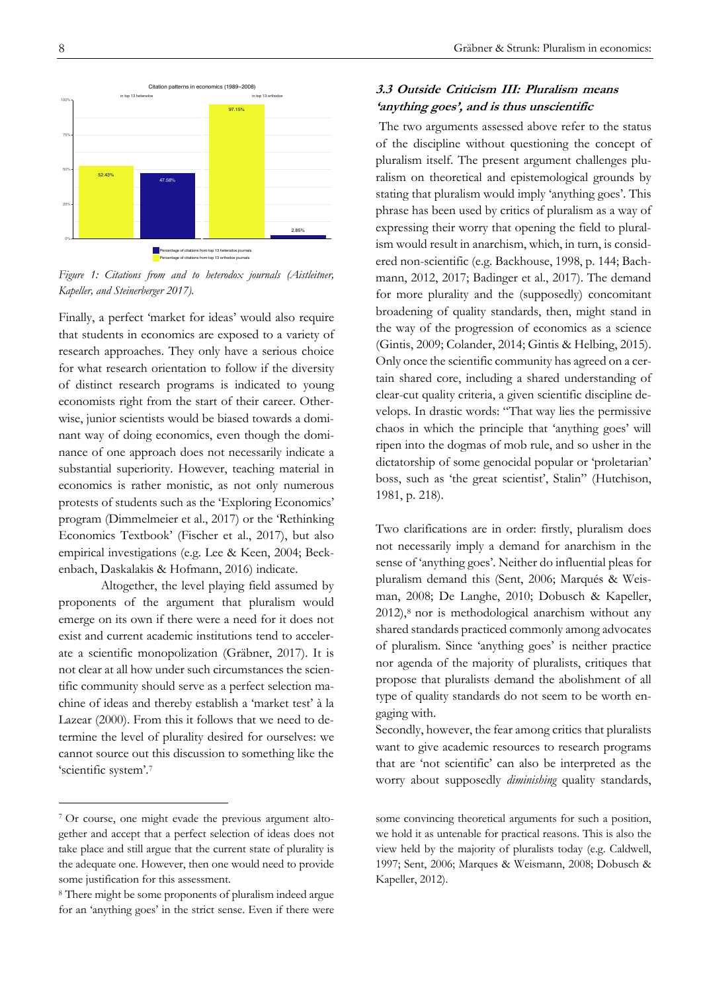

*Figure 1: Citations from and to heterodox journals (Aistleitner, Kapeller, and Steinerberger 2017).*

Finally, a perfect 'market for ideas' would also require that students in economics are exposed to a variety of research approaches. They only have a serious choice for what research orientation to follow if the diversity of distinct research programs is indicated to young economists right from the start of their career. Otherwise, junior scientists would be biased towards a dominant way of doing economics, even though the dominance of one approach does not necessarily indicate a substantial superiority. However, teaching material in economics is rather monistic, as not only numerous protests of students such as the 'Exploring Economics' program (Dimmelmeier et al., 2017) or the 'Rethinking Economics Textbook' (Fischer et al., 2017), but also empirical investigations (e.g. Lee & Keen, 2004; Beckenbach, Daskalakis & Hofmann, 2016) indicate.

Altogether, the level playing field assumed by proponents of the argument that pluralism would emerge on its own if there were a need for it does not exist and current academic institutions tend to accelerate a scientific monopolization (Gräbner, 2017). It is not clear at all how under such circumstances the scientific community should serve as a perfect selection machine of ideas and thereby establish a 'market test' à la Lazear (2000). From this it follows that we need to determine the level of plurality desired for ourselves: we cannot source out this discussion to something like the 'scientific system'.7

#### **3.3 Outside Criticism III: Pluralism means 'anything goes', and is thus unscientific**

The two arguments assessed above refer to the status of the discipline without questioning the concept of pluralism itself. The present argument challenges pluralism on theoretical and epistemological grounds by stating that pluralism would imply 'anything goes'. This phrase has been used by critics of pluralism as a way of expressing their worry that opening the field to pluralism would result in anarchism, which, in turn, is considered non-scientific (e.g. Backhouse, 1998, p. 144; Bachmann, 2012, 2017; Badinger et al., 2017). The demand for more plurality and the (supposedly) concomitant broadening of quality standards, then, might stand in the way of the progression of economics as a science (Gintis, 2009; Colander, 2014; Gintis & Helbing, 2015). Only once the scientific community has agreed on a certain shared core, including a shared understanding of clear-cut quality criteria, a given scientific discipline develops. In drastic words: "That way lies the permissive chaos in which the principle that 'anything goes' will ripen into the dogmas of mob rule, and so usher in the dictatorship of some genocidal popular or 'proletarian' boss, such as 'the great scientist', Stalin" (Hutchison, 1981, p. 218).

Two clarifications are in order: firstly, pluralism does not necessarily imply a demand for anarchism in the sense of 'anything goes'. Neither do influential pleas for pluralism demand this (Sent, 2006; Marqués & Weisman, 2008; De Langhe, 2010; Dobusch & Kapeller,  $2012$ ,<sup>8</sup> nor is methodological anarchism without any shared standards practiced commonly among advocates of pluralism. Since 'anything goes' is neither practice nor agenda of the majority of pluralists, critiques that propose that pluralists demand the abolishment of all type of quality standards do not seem to be worth engaging with.

Secondly, however, the fear among critics that pluralists want to give academic resources to research programs that are 'not scientific' can also be interpreted as the worry about supposedly *diminishing* quality standards,

<sup>7</sup> Or course, one might evade the previous argument altogether and accept that a perfect selection of ideas does not take place and still argue that the current state of plurality is the adequate one. However, then one would need to provide some justification for this assessment.

<sup>8</sup> There might be some proponents of pluralism indeed argue for an 'anything goes' in the strict sense. Even if there were

some convincing theoretical arguments for such a position, we hold it as untenable for practical reasons. This is also the view held by the majority of pluralists today (e.g. Caldwell, 1997; Sent, 2006; Marques & Weismann, 2008; Dobusch & Kapeller, 2012).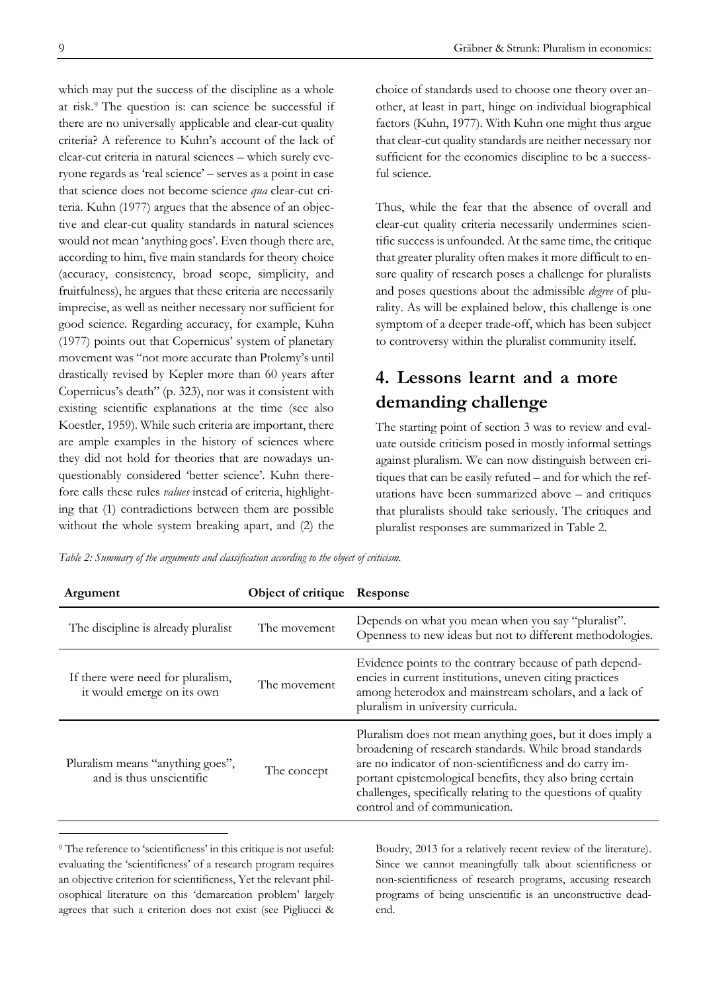which may put the success of the discipline as a whole at risk.9 The question is: can science be successful if there are no universally applicable and clear-cut quality criteria? A reference to Kuhn's account of the lack of clear-cut criteria in natural sciences – which surely everyone regards as 'real science' – serves as a point in case that science does not become science *qua* clear-cut criteria. Kuhn (1977) argues that the absence of an objective and clear-cut quality standards in natural sciences would not mean 'anything goes'. Even though there are, according to him, five main standards for theory choice (accuracy, consistency, broad scope, simplicity, and fruitfulness), he argues that these criteria are necessarily imprecise, as well as neither necessary nor sufficient for good science. Regarding accuracy, for example, Kuhn (1977) points out that Copernicus' system of planetary movement was "not more accurate than Ptolemy's until drastically revised by Kepler more than 60 years after Copernicus's death" (p. 323), nor was it consistent with existing scientific explanations at the time (see also Koestler, 1959). While such criteria are important, there are ample examples in the history of sciences where they did not hold for theories that are nowadays unquestionably considered 'better science'. Kuhn therefore calls these rules *values* instead of criteria, highlighting that (1) contradictions between them are possible without the whole system breaking apart, and (2) the

choice of standards used to choose one theory over another, at least in part, hinge on individual biographical factors (Kuhn, 1977). With Kuhn one might thus argue that clear-cut quality standards are neither necessary nor sufficient for the economics discipline to be a successful science.

Thus, while the fear that the absence of overall and clear-cut quality criteria necessarily undermines scientific success is unfounded. At the same time, the critique that greater plurality often makes it more difficult to ensure quality of research poses a challenge for pluralists and poses questions about the admissible *degree* of plurality. As will be explained below, this challenge is one symptom of a deeper trade-off, which has been subject to controversy within the pluralist community itself.

## **4. Lessons learnt and a more demanding challenge**

The starting point of section 3 was to review and evaluate outside criticism posed in mostly informal settings against pluralism. We can now distinguish between critiques that can be easily refuted – and for which the refutations have been summarized above – and critiques that pluralists should take seriously. The critiques and pluralist responses are summarized in Table 2.

*Table 2: Summary of the arguments and classification according to the object of criticism.*

| Argument                                                        | Object of critique Response |                                                                                                                                                                                                                                                                                                                                                 |
|-----------------------------------------------------------------|-----------------------------|-------------------------------------------------------------------------------------------------------------------------------------------------------------------------------------------------------------------------------------------------------------------------------------------------------------------------------------------------|
| The discipline is already pluralist                             | The movement                | Depends on what you mean when you say "pluralist".<br>Openness to new ideas but not to different methodologies.                                                                                                                                                                                                                                 |
| If there were need for pluralism,<br>it would emerge on its own | The movement                | Evidence points to the contrary because of path depend-<br>encies in current institutions, uneven citing practices<br>among heterodox and mainstream scholars, and a lack of<br>pluralism in university curricula.                                                                                                                              |
| Pluralism means "anything goes",<br>and is thus unscientific    | The concept                 | Pluralism does not mean anything goes, but it does imply a<br>broadening of research standards. While broad standards<br>are no indicator of non-scientificness and do carry im-<br>portant epistemological benefits, they also bring certain<br>challenges, specifically relating to the questions of quality<br>control and of communication. |
|                                                                 |                             |                                                                                                                                                                                                                                                                                                                                                 |

<sup>9</sup> The reference to 'scientificness' in this critique is not useful: evaluating the 'scientificness' of a research program requires an objective criterion for scientificness, Yet the relevant philosophical literature on this 'demarcation problem' largely agrees that such a criterion does not exist (see Pigliucci &

Boudry, 2013 for a relatively recent review of the literature). Since we cannot meaningfully talk about scientificness or non-scientificness of research programs, accusing research programs of being unscientific is an unconstructive deadend.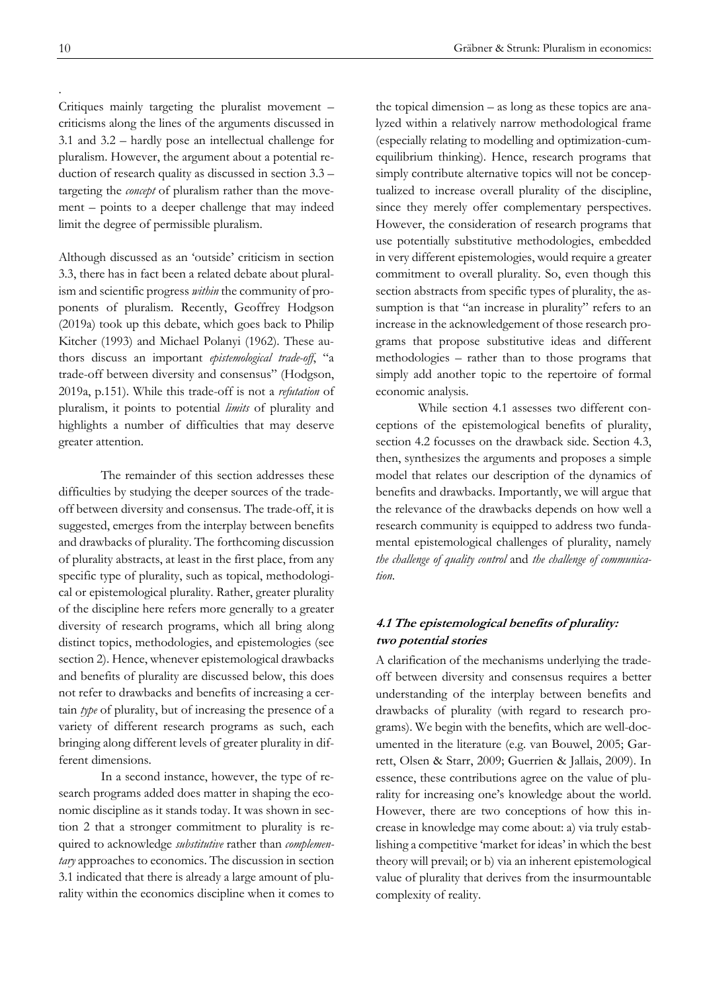.

Critiques mainly targeting the pluralist movement – criticisms along the lines of the arguments discussed in 3.1 and 3.2 – hardly pose an intellectual challenge for pluralism. However, the argument about a potential reduction of research quality as discussed in section 3.3 – targeting the *concept* of pluralism rather than the movement – points to a deeper challenge that may indeed limit the degree of permissible pluralism.

Although discussed as an 'outside' criticism in section 3.3, there has in fact been a related debate about pluralism and scientific progress *within* the community of proponents of pluralism. Recently, Geoffrey Hodgson (2019a) took up this debate, which goes back to Philip Kitcher (1993) and Michael Polanyi (1962). These authors discuss an important *epistemological trade-off*, "a trade-off between diversity and consensus" (Hodgson, 2019a, p.151). While this trade-off is not a *refutation* of pluralism, it points to potential *limits* of plurality and highlights a number of difficulties that may deserve greater attention.

The remainder of this section addresses these difficulties by studying the deeper sources of the tradeoff between diversity and consensus. The trade-off, it is suggested, emerges from the interplay between benefits and drawbacks of plurality. The forthcoming discussion of plurality abstracts, at least in the first place, from any specific type of plurality, such as topical, methodological or epistemological plurality. Rather, greater plurality of the discipline here refers more generally to a greater diversity of research programs, which all bring along distinct topics, methodologies, and epistemologies (see section 2). Hence, whenever epistemological drawbacks and benefits of plurality are discussed below, this does not refer to drawbacks and benefits of increasing a certain *type* of plurality, but of increasing the presence of a variety of different research programs as such, each bringing along different levels of greater plurality in different dimensions.

In a second instance, however, the type of research programs added does matter in shaping the economic discipline as it stands today. It was shown in section 2 that a stronger commitment to plurality is required to acknowledge *substitutive* rather than *complementary* approaches to economics. The discussion in section 3.1 indicated that there is already a large amount of plurality within the economics discipline when it comes to the topical dimension – as long as these topics are analyzed within a relatively narrow methodological frame (especially relating to modelling and optimization-cumequilibrium thinking). Hence, research programs that simply contribute alternative topics will not be conceptualized to increase overall plurality of the discipline, since they merely offer complementary perspectives. However, the consideration of research programs that use potentially substitutive methodologies, embedded in very different epistemologies, would require a greater commitment to overall plurality. So, even though this section abstracts from specific types of plurality, the assumption is that "an increase in plurality" refers to an increase in the acknowledgement of those research programs that propose substitutive ideas and different methodologies – rather than to those programs that simply add another topic to the repertoire of formal economic analysis.

While section 4.1 assesses two different conceptions of the epistemological benefits of plurality, section 4.2 focusses on the drawback side. Section 4.3, then, synthesizes the arguments and proposes a simple model that relates our description of the dynamics of benefits and drawbacks. Importantly, we will argue that the relevance of the drawbacks depends on how well a research community is equipped to address two fundamental epistemological challenges of plurality, namely *the challenge of quality control* and *the challenge of communication*.

#### **4.1 The epistemological benefits of plurality: two potential stories**

A clarification of the mechanisms underlying the tradeoff between diversity and consensus requires a better understanding of the interplay between benefits and drawbacks of plurality (with regard to research programs). We begin with the benefits, which are well-documented in the literature (e.g. van Bouwel, 2005; Garrett, Olsen & Starr, 2009; Guerrien & Jallais, 2009). In essence, these contributions agree on the value of plurality for increasing one's knowledge about the world. However, there are two conceptions of how this increase in knowledge may come about: a) via truly establishing a competitive 'market for ideas' in which the best theory will prevail; or b) via an inherent epistemological value of plurality that derives from the insurmountable complexity of reality.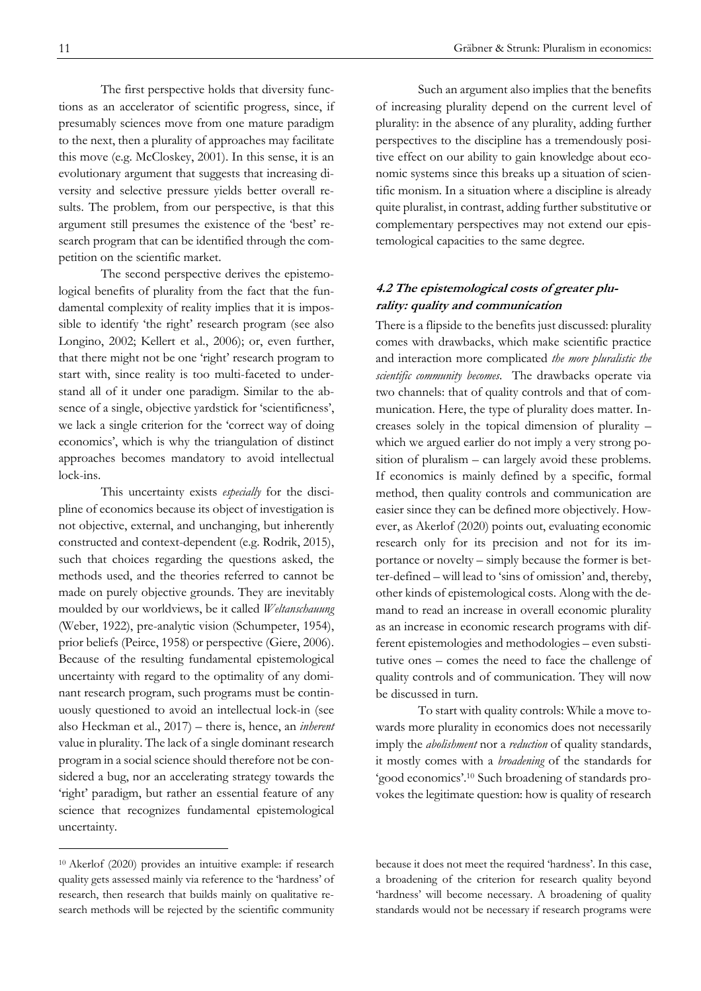The first perspective holds that diversity functions as an accelerator of scientific progress, since, if presumably sciences move from one mature paradigm to the next, then a plurality of approaches may facilitate this move (e.g. McCloskey, 2001). In this sense, it is an evolutionary argument that suggests that increasing diversity and selective pressure yields better overall results. The problem, from our perspective, is that this argument still presumes the existence of the 'best' research program that can be identified through the competition on the scientific market.

The second perspective derives the epistemological benefits of plurality from the fact that the fundamental complexity of reality implies that it is impossible to identify 'the right' research program (see also Longino, 2002; Kellert et al., 2006); or, even further, that there might not be one 'right' research program to start with, since reality is too multi-faceted to understand all of it under one paradigm. Similar to the absence of a single, objective yardstick for 'scientificness', we lack a single criterion for the 'correct way of doing economics', which is why the triangulation of distinct approaches becomes mandatory to avoid intellectual lock-ins.

This uncertainty exists *especially* for the discipline of economics because its object of investigation is not objective, external, and unchanging, but inherently constructed and context-dependent (e.g. Rodrik, 2015), such that choices regarding the questions asked, the methods used, and the theories referred to cannot be made on purely objective grounds. They are inevitably moulded by our worldviews, be it called *Weltanschauung* (Weber, 1922), pre-analytic vision (Schumpeter, 1954), prior beliefs (Peirce, 1958) or perspective (Giere, 2006). Because of the resulting fundamental epistemological uncertainty with regard to the optimality of any dominant research program, such programs must be continuously questioned to avoid an intellectual lock-in (see also Heckman et al., 2017) – there is, hence, an *inherent* value in plurality. The lack of a single dominant research program in a social science should therefore not be considered a bug, nor an accelerating strategy towards the 'right' paradigm, but rather an essential feature of any science that recognizes fundamental epistemological uncertainty.

<sup>10</sup> Akerlof (2020) provides an intuitive example: if research quality gets assessed mainly via reference to the 'hardness' of research, then research that builds mainly on qualitative research methods will be rejected by the scientific community

Such an argument also implies that the benefits of increasing plurality depend on the current level of plurality: in the absence of any plurality, adding further perspectives to the discipline has a tremendously positive effect on our ability to gain knowledge about economic systems since this breaks up a situation of scientific monism. In a situation where a discipline is already quite pluralist, in contrast, adding further substitutive or complementary perspectives may not extend our epistemological capacities to the same degree.

#### **4.2 The epistemological costs of greater plurality: quality and communication**

There is a flipside to the benefits just discussed: plurality comes with drawbacks, which make scientific practice and interaction more complicated *the more pluralistic the scientific community becomes*. The drawbacks operate via two channels: that of quality controls and that of communication. Here, the type of plurality does matter. Increases solely in the topical dimension of plurality – which we argued earlier do not imply a very strong position of pluralism – can largely avoid these problems. If economics is mainly defined by a specific, formal method, then quality controls and communication are easier since they can be defined more objectively. However, as Akerlof (2020) points out, evaluating economic research only for its precision and not for its importance or novelty – simply because the former is better-defined – will lead to 'sins of omission' and, thereby, other kinds of epistemological costs. Along with the demand to read an increase in overall economic plurality as an increase in economic research programs with different epistemologies and methodologies – even substitutive ones – comes the need to face the challenge of quality controls and of communication. They will now be discussed in turn.

To start with quality controls: While a move towards more plurality in economics does not necessarily imply the *abolishment* nor a *reduction* of quality standards, it mostly comes with a *broadening* of the standards for 'good economics'.10 Such broadening of standards provokes the legitimate question: how is quality of research

because it does not meet the required 'hardness'. In this case, a broadening of the criterion for research quality beyond 'hardness' will become necessary. A broadening of quality standards would not be necessary if research programs were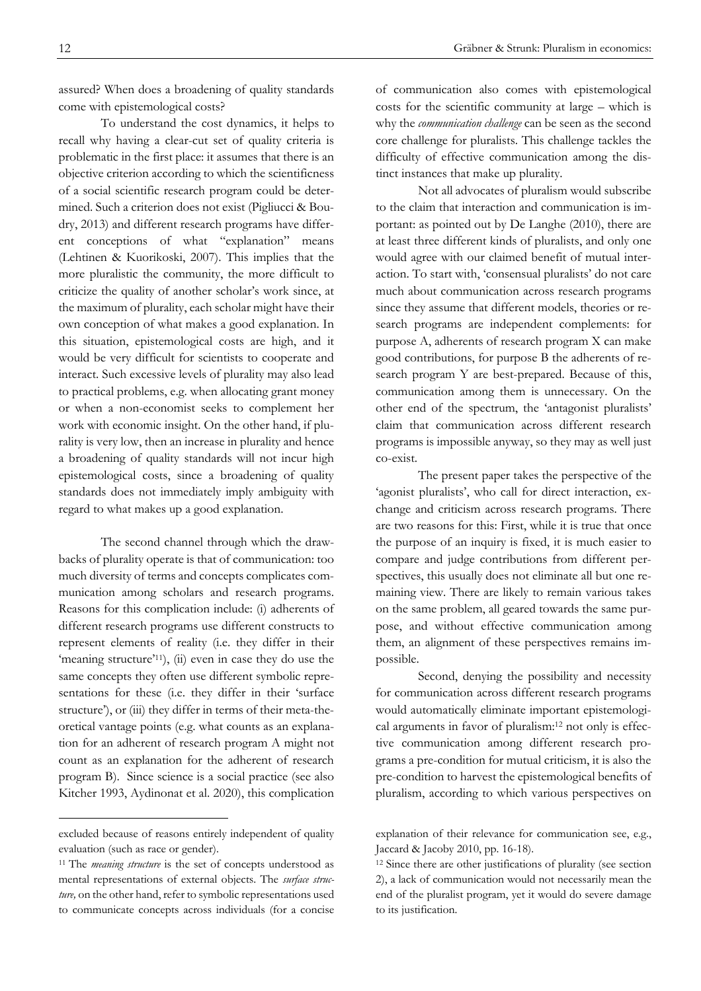assured? When does a broadening of quality standards come with epistemological costs?

To understand the cost dynamics, it helps to recall why having a clear-cut set of quality criteria is problematic in the first place: it assumes that there is an objective criterion according to which the scientificness of a social scientific research program could be determined. Such a criterion does not exist (Pigliucci & Boudry, 2013) and different research programs have different conceptions of what "explanation" means (Lehtinen & Kuorikoski, 2007). This implies that the more pluralistic the community, the more difficult to criticize the quality of another scholar's work since, at the maximum of plurality, each scholar might have their own conception of what makes a good explanation. In this situation, epistemological costs are high, and it would be very difficult for scientists to cooperate and interact. Such excessive levels of plurality may also lead to practical problems, e.g. when allocating grant money or when a non-economist seeks to complement her work with economic insight. On the other hand, if plurality is very low, then an increase in plurality and hence a broadening of quality standards will not incur high epistemological costs, since a broadening of quality standards does not immediately imply ambiguity with regard to what makes up a good explanation.

The second channel through which the drawbacks of plurality operate is that of communication: too much diversity of terms and concepts complicates communication among scholars and research programs. Reasons for this complication include: (i) adherents of different research programs use different constructs to represent elements of reality (i.e. they differ in their 'meaning structure'<sup>11</sup>), (ii) even in case they do use the same concepts they often use different symbolic representations for these (i.e. they differ in their 'surface structure'), or (iii) they differ in terms of their meta-theoretical vantage points (e.g. what counts as an explanation for an adherent of research program A might not count as an explanation for the adherent of research program B). Since science is a social practice (see also Kitcher 1993, Aydinonat et al. 2020), this complication

of communication also comes with epistemological costs for the scientific community at large – which is why the *communication challenge* can be seen as the second core challenge for pluralists. This challenge tackles the difficulty of effective communication among the distinct instances that make up plurality.

Not all advocates of pluralism would subscribe to the claim that interaction and communication is important: as pointed out by De Langhe (2010), there are at least three different kinds of pluralists, and only one would agree with our claimed benefit of mutual interaction. To start with, 'consensual pluralists' do not care much about communication across research programs since they assume that different models, theories or research programs are independent complements: for purpose A, adherents of research program X can make good contributions, for purpose B the adherents of research program Y are best-prepared. Because of this, communication among them is unnecessary. On the other end of the spectrum, the 'antagonist pluralists' claim that communication across different research programs is impossible anyway, so they may as well just co-exist.

The present paper takes the perspective of the 'agonist pluralists', who call for direct interaction, exchange and criticism across research programs. There are two reasons for this: First, while it is true that once the purpose of an inquiry is fixed, it is much easier to compare and judge contributions from different perspectives, this usually does not eliminate all but one remaining view. There are likely to remain various takes on the same problem, all geared towards the same purpose, and without effective communication among them, an alignment of these perspectives remains impossible.

Second, denying the possibility and necessity for communication across different research programs would automatically eliminate important epistemological arguments in favor of pluralism:12 not only is effective communication among different research programs a pre-condition for mutual criticism, it is also the pre-condition to harvest the epistemological benefits of pluralism, according to which various perspectives on

excluded because of reasons entirely independent of quality evaluation (such as race or gender).

<sup>&</sup>lt;sup>11</sup> The *meaning structure* is the set of concepts understood as mental representations of external objects. The *surface structure,* on the other hand, refer to symbolic representations used to communicate concepts across individuals (for a concise

explanation of their relevance for communication see, e.g., Jaccard & Jacoby 2010, pp. 16-18).

<sup>12</sup> Since there are other justifications of plurality (see section 2), a lack of communication would not necessarily mean the end of the pluralist program, yet it would do severe damage to its justification.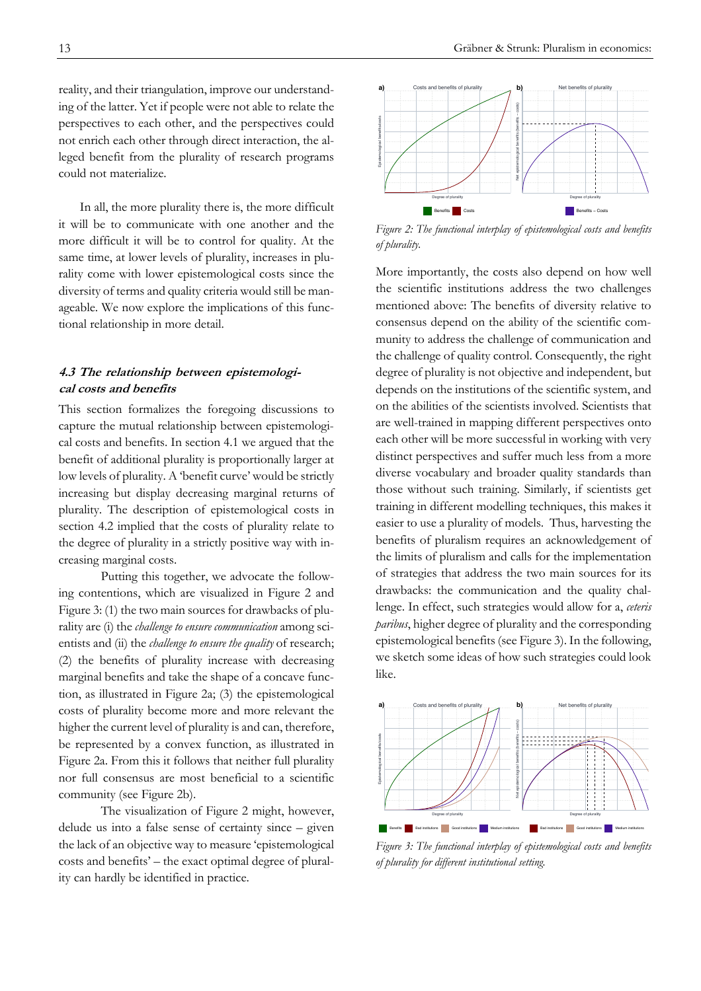reality, and their triangulation, improve our understanding of the latter. Yet if people were not able to relate the perspectives to each other, and the perspectives could not enrich each other through direct interaction, the alleged benefit from the plurality of research programs could not materialize.

In all, the more plurality there is, the more difficult it will be to communicate with one another and the more difficult it will be to control for quality. At the same time, at lower levels of plurality, increases in plurality come with lower epistemological costs since the diversity of terms and quality criteria would still be manageable. We now explore the implications of this functional relationship in more detail.

#### **4.3 The relationship between epistemological costs and benefits**

This section formalizes the foregoing discussions to capture the mutual relationship between epistemological costs and benefits. In section 4.1 we argued that the benefit of additional plurality is proportionally larger at low levels of plurality. A 'benefit curve' would be strictly increasing but display decreasing marginal returns of plurality. The description of epistemological costs in section 4.2 implied that the costs of plurality relate to the degree of plurality in a strictly positive way with increasing marginal costs.

Putting this together, we advocate the following contentions, which are visualized in Figure 2 and Figure 3: (1) the two main sources for drawbacks of plurality are (i) the *challenge to ensure communication* among scientists and (ii) the *challenge to ensure the quality* of research; (2) the benefits of plurality increase with decreasing marginal benefits and take the shape of a concave function, as illustrated in Figure 2a; (3) the epistemological costs of plurality become more and more relevant the higher the current level of plurality is and can, therefore, be represented by a convex function, as illustrated in Figure 2a. From this it follows that neither full plurality nor full consensus are most beneficial to a scientific community (see Figure 2b).

The visualization of Figure 2 might, however, delude us into a false sense of certainty since – given the lack of an objective way to measure 'epistemological costs and benefits' – the exact optimal degree of plurality can hardly be identified in practice.



*Figure 2: The functional interplay of epistemological costs and benefits of plurality.*

More importantly, the costs also depend on how well the scientific institutions address the two challenges mentioned above: The benefits of diversity relative to consensus depend on the ability of the scientific community to address the challenge of communication and the challenge of quality control. Consequently, the right degree of plurality is not objective and independent, but depends on the institutions of the scientific system, and on the abilities of the scientists involved. Scientists that are well-trained in mapping different perspectives onto each other will be more successful in working with very distinct perspectives and suffer much less from a more diverse vocabulary and broader quality standards than those without such training. Similarly, if scientists get training in different modelling techniques, this makes it easier to use a plurality of models. Thus, harvesting the benefits of pluralism requires an acknowledgement of the limits of pluralism and calls for the implementation of strategies that address the two main sources for its drawbacks: the communication and the quality challenge. In effect, such strategies would allow for a, *ceteris paribus*, higher degree of plurality and the corresponding epistemological benefits (see Figure 3). In the following, we sketch some ideas of how such strategies could look like.



*Figure 3: The functional interplay of epistemological costs and benefits of plurality for different institutional setting.*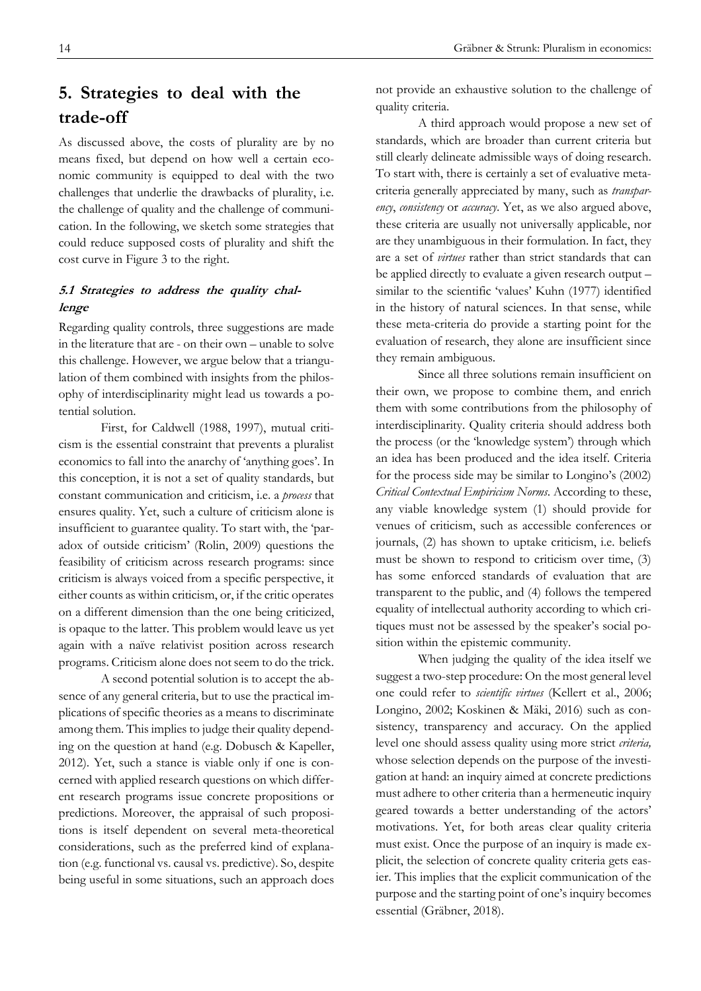### **5. Strategies to deal with the trade-off**

As discussed above, the costs of plurality are by no means fixed, but depend on how well a certain economic community is equipped to deal with the two challenges that underlie the drawbacks of plurality, i.e. the challenge of quality and the challenge of communication. In the following, we sketch some strategies that could reduce supposed costs of plurality and shift the cost curve in Figure 3 to the right.

#### **5.1 Strategies to address the quality challenge**

Regarding quality controls, three suggestions are made in the literature that are - on their own – unable to solve this challenge. However, we argue below that a triangulation of them combined with insights from the philosophy of interdisciplinarity might lead us towards a potential solution.

First, for Caldwell (1988, 1997), mutual criticism is the essential constraint that prevents a pluralist economics to fall into the anarchy of 'anything goes'. In this conception, it is not a set of quality standards, but constant communication and criticism, i.e. a *process* that ensures quality. Yet, such a culture of criticism alone is insufficient to guarantee quality. To start with, the 'paradox of outside criticism' (Rolin, 2009) questions the feasibility of criticism across research programs: since criticism is always voiced from a specific perspective, it either counts as within criticism, or, if the critic operates on a different dimension than the one being criticized, is opaque to the latter. This problem would leave us yet again with a naïve relativist position across research programs. Criticism alone does not seem to do the trick.

A second potential solution is to accept the absence of any general criteria, but to use the practical implications of specific theories as a means to discriminate among them. This implies to judge their quality depending on the question at hand (e.g. Dobusch & Kapeller, 2012). Yet, such a stance is viable only if one is concerned with applied research questions on which different research programs issue concrete propositions or predictions. Moreover, the appraisal of such propositions is itself dependent on several meta-theoretical considerations, such as the preferred kind of explanation (e.g. functional vs. causal vs. predictive). So, despite being useful in some situations, such an approach does

not provide an exhaustive solution to the challenge of quality criteria.

A third approach would propose a new set of standards, which are broader than current criteria but still clearly delineate admissible ways of doing research. To start with, there is certainly a set of evaluative metacriteria generally appreciated by many, such as *transparency*, *consistency* or *accuracy*. Yet, as we also argued above, these criteria are usually not universally applicable, nor are they unambiguous in their formulation. In fact, they are a set of *virtues* rather than strict standards that can be applied directly to evaluate a given research output – similar to the scientific 'values' Kuhn (1977) identified in the history of natural sciences. In that sense, while these meta-criteria do provide a starting point for the evaluation of research, they alone are insufficient since they remain ambiguous.

Since all three solutions remain insufficient on their own, we propose to combine them, and enrich them with some contributions from the philosophy of interdisciplinarity. Quality criteria should address both the process (or the 'knowledge system') through which an idea has been produced and the idea itself. Criteria for the process side may be similar to Longino's (2002) *Critical Contextual Empiricism Norms*. According to these, any viable knowledge system (1) should provide for venues of criticism, such as accessible conferences or journals, (2) has shown to uptake criticism, i.e. beliefs must be shown to respond to criticism over time, (3) has some enforced standards of evaluation that are transparent to the public, and (4) follows the tempered equality of intellectual authority according to which critiques must not be assessed by the speaker's social position within the epistemic community.

When judging the quality of the idea itself we suggest a two-step procedure: On the most general level one could refer to *scientific virtues* (Kellert et al., 2006; Longino, 2002; Koskinen & Mäki, 2016) such as consistency, transparency and accuracy*.* On the applied level one should assess quality using more strict *criteria,* whose selection depends on the purpose of the investigation at hand: an inquiry aimed at concrete predictions must adhere to other criteria than a hermeneutic inquiry geared towards a better understanding of the actors' motivations. Yet, for both areas clear quality criteria must exist. Once the purpose of an inquiry is made explicit, the selection of concrete quality criteria gets easier. This implies that the explicit communication of the purpose and the starting point of one's inquiry becomes essential (Gräbner, 2018).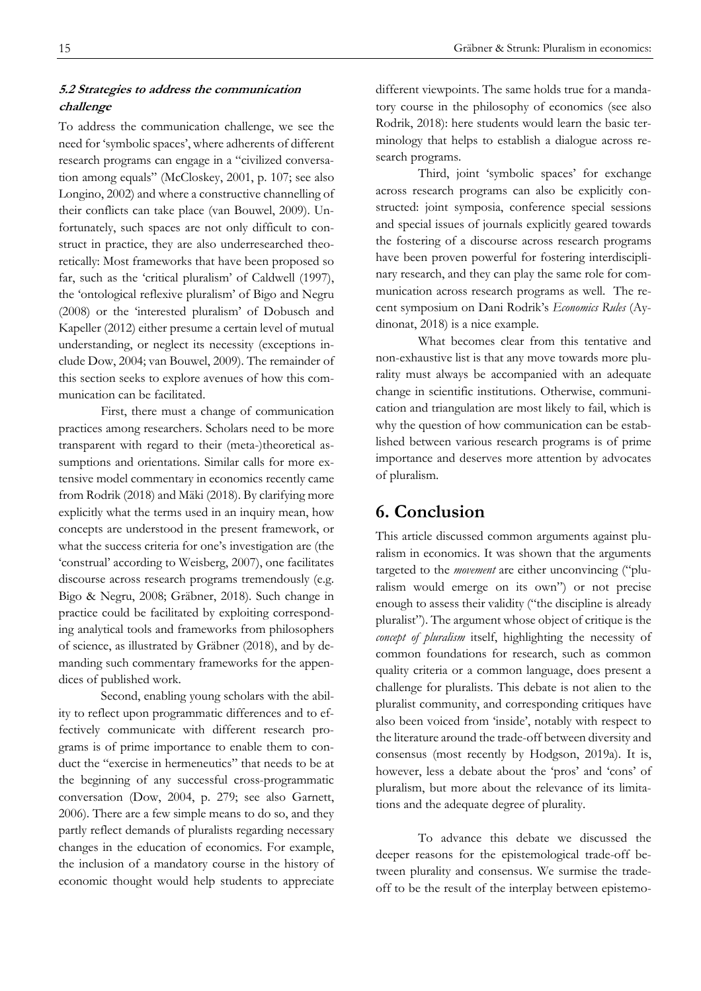#### **5.2 Strategies to address the communication challenge**

To address the communication challenge, we see the need for 'symbolic spaces', where adherents of different research programs can engage in a "civilized conversation among equals" (McCloskey, 2001, p. 107; see also Longino, 2002) and where a constructive channelling of their conflicts can take place (van Bouwel, 2009). Unfortunately, such spaces are not only difficult to construct in practice, they are also underresearched theoretically: Most frameworks that have been proposed so far, such as the 'critical pluralism' of Caldwell (1997), the 'ontological reflexive pluralism' of Bigo and Negru (2008) or the 'interested pluralism' of Dobusch and Kapeller (2012) either presume a certain level of mutual understanding, or neglect its necessity (exceptions include Dow, 2004; van Bouwel, 2009). The remainder of this section seeks to explore avenues of how this communication can be facilitated.

First, there must a change of communication practices among researchers. Scholars need to be more transparent with regard to their (meta-)theoretical assumptions and orientations. Similar calls for more extensive model commentary in economics recently came from Rodrik (2018) and Mäki (2018). By clarifying more explicitly what the terms used in an inquiry mean, how concepts are understood in the present framework, or what the success criteria for one's investigation are (the 'construal' according to Weisberg, 2007), one facilitates discourse across research programs tremendously (e.g. Bigo & Negru, 2008; Gräbner, 2018). Such change in practice could be facilitated by exploiting corresponding analytical tools and frameworks from philosophers of science, as illustrated by Gräbner (2018), and by demanding such commentary frameworks for the appendices of published work.

Second, enabling young scholars with the ability to reflect upon programmatic differences and to effectively communicate with different research programs is of prime importance to enable them to conduct the "exercise in hermeneutics" that needs to be at the beginning of any successful cross-programmatic conversation (Dow, 2004, p. 279; see also Garnett, 2006). There are a few simple means to do so, and they partly reflect demands of pluralists regarding necessary changes in the education of economics. For example, the inclusion of a mandatory course in the history of economic thought would help students to appreciate

different viewpoints. The same holds true for a mandatory course in the philosophy of economics (see also Rodrik, 2018): here students would learn the basic terminology that helps to establish a dialogue across research programs.

Third, joint 'symbolic spaces' for exchange across research programs can also be explicitly constructed: joint symposia, conference special sessions and special issues of journals explicitly geared towards the fostering of a discourse across research programs have been proven powerful for fostering interdisciplinary research, and they can play the same role for communication across research programs as well. The recent symposium on Dani Rodrik's *Economics Rules* (Aydinonat, 2018) is a nice example.

What becomes clear from this tentative and non-exhaustive list is that any move towards more plurality must always be accompanied with an adequate change in scientific institutions. Otherwise, communication and triangulation are most likely to fail, which is why the question of how communication can be established between various research programs is of prime importance and deserves more attention by advocates of pluralism.

#### **6. Conclusion**

This article discussed common arguments against pluralism in economics. It was shown that the arguments targeted to the *movement* are either unconvincing ("pluralism would emerge on its own") or not precise enough to assess their validity ("the discipline is already pluralist"). The argument whose object of critique is the *concept of pluralism* itself, highlighting the necessity of common foundations for research, such as common quality criteria or a common language, does present a challenge for pluralists. This debate is not alien to the pluralist community, and corresponding critiques have also been voiced from 'inside', notably with respect to the literature around the trade-off between diversity and consensus (most recently by Hodgson, 2019a). It is, however, less a debate about the 'pros' and 'cons' of pluralism, but more about the relevance of its limitations and the adequate degree of plurality.

To advance this debate we discussed the deeper reasons for the epistemological trade-off between plurality and consensus. We surmise the tradeoff to be the result of the interplay between epistemo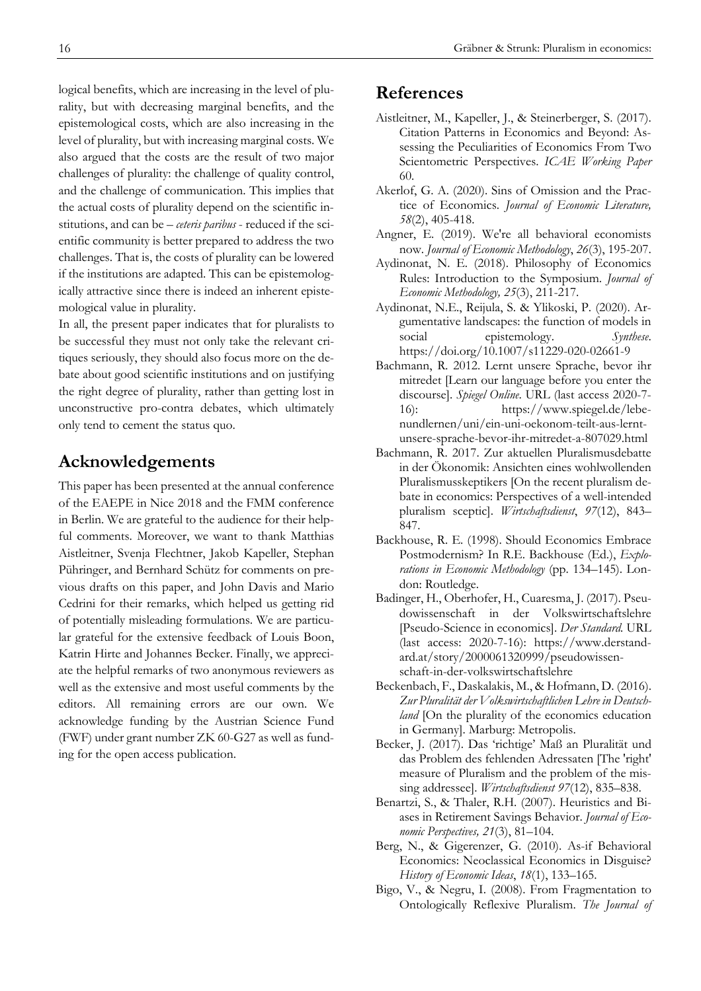logical benefits, which are increasing in the level of plurality, but with decreasing marginal benefits, and the epistemological costs, which are also increasing in the level of plurality, but with increasing marginal costs. We also argued that the costs are the result of two major challenges of plurality: the challenge of quality control, and the challenge of communication. This implies that the actual costs of plurality depend on the scientific institutions, and can be – *ceteris paribus* - reduced if the scientific community is better prepared to address the two challenges. That is, the costs of plurality can be lowered if the institutions are adapted. This can be epistemologically attractive since there is indeed an inherent epistemological value in plurality.

In all, the present paper indicates that for pluralists to be successful they must not only take the relevant critiques seriously, they should also focus more on the debate about good scientific institutions and on justifying the right degree of plurality, rather than getting lost in unconstructive pro-contra debates, which ultimately only tend to cement the status quo.

#### **Acknowledgements**

This paper has been presented at the annual conference of the EAEPE in Nice 2018 and the FMM conference in Berlin. We are grateful to the audience for their helpful comments. Moreover, we want to thank Matthias Aistleitner, Svenja Flechtner, Jakob Kapeller, Stephan Pühringer, and Bernhard Schütz for comments on previous drafts on this paper, and John Davis and Mario Cedrini for their remarks, which helped us getting rid of potentially misleading formulations. We are particular grateful for the extensive feedback of Louis Boon, Katrin Hirte and Johannes Becker. Finally, we appreciate the helpful remarks of two anonymous reviewers as well as the extensive and most useful comments by the editors. All remaining errors are our own. We acknowledge funding by the Austrian Science Fund (FWF) under grant number ZK 60-G27 as well as funding for the open access publication.

#### **References**

- Aistleitner, M., Kapeller, J., & Steinerberger, S. (2017). Citation Patterns in Economics and Beyond: Assessing the Peculiarities of Economics From Two Scientometric Perspectives. *ICAE Working Paper* 60.
- Akerlof, G. A. (2020). Sins of Omission and the Practice of Economics. *Journal of Economic Literature, 58*(2), 405-418.
- Angner, E. (2019). We're all behavioral economists now. *Journal of Economic Methodology*, *26*(3), 195-207.
- Aydinonat, N. E. (2018). Philosophy of Economics Rules: Introduction to the Symposium. *Journal of Economic Methodology, 25*(3), 211-217.
- Aydinonat, N.E., Reijula, S. & Ylikoski, P. (2020). Argumentative landscapes: the function of models in social epistemology. *Synthese*. https://doi.org/10.1007/s11229-020-02661-9
- Bachmann, R*.* 2012. Lernt unsere Sprache, bevor ihr mitredet [Learn our language before you enter the discourse]. *Spiegel Online*. URL (last access 2020-7- 16): https://www.spiegel.de/lebenundlernen/uni/ein-uni-oekonom-teilt-aus-lerntunsere-sprache-bevor-ihr-mitredet-a-807029.html
- Bachmann, R. 2017. Zur aktuellen Pluralismusdebatte in der Ökonomik: Ansichten eines wohlwollenden Pluralismusskeptikers [On the recent pluralism debate in economics: Perspectives of a well-intended pluralism sceptic]. *Wirtschaftsdienst*, *97*(12), 843– 847.
- Backhouse, R. E. (1998). Should Economics Embrace Postmodernism? In R.E. Backhouse (Ed.), *Explorations in Economic Methodology* (pp. 134–145). London: Routledge.
- Badinger, H., Oberhofer, H., Cuaresma, J. (2017). Pseudowissenschaft in der Volkswirtschaftslehre [Pseudo-Science in economics]. *Der Standard.* URL (last access: 2020-7-16): https://www.derstandard.at/story/2000061320999/pseudowissenschaft-in-der-volkswirtschaftslehre
- Beckenbach, F., Daskalakis, M., & Hofmann, D. (2016). *Zur Pluralität der Volkswirtschaftlichen Lehre in Deutschland* [On the plurality of the economics education in Germany]. Marburg: Metropolis.
- Becker, J. (2017). Das 'richtige' Maß an Pluralität und das Problem des fehlenden Adressaten [The 'right' measure of Pluralism and the problem of the missing addressee]. *Wirtschaftsdienst 97*(12), 835–838.
- Benartzi, S., & Thaler, R.H. (2007). Heuristics and Biases in Retirement Savings Behavior. *Journal of Economic Perspectives, 21*(3), 81–104.
- Berg, N., & Gigerenzer, G. (2010). As-if Behavioral Economics: Neoclassical Economics in Disguise? *History of Economic Ideas*, *18*(1), 133–165.
- Bigo, V., & Negru, I. (2008). From Fragmentation to Ontologically Reflexive Pluralism. *The Journal of*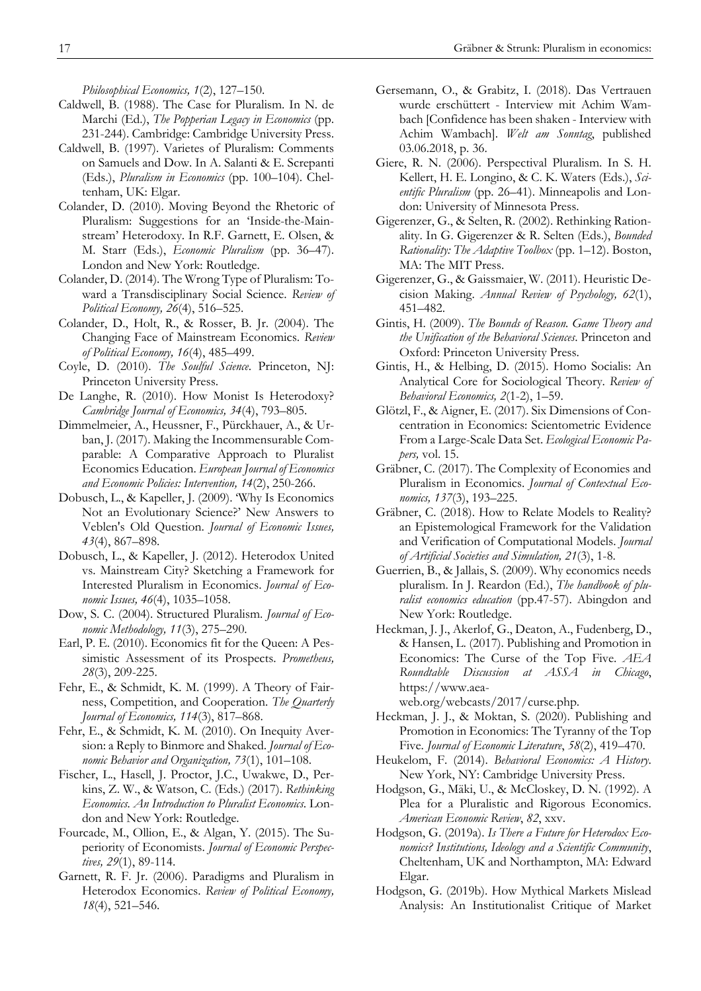*Philosophical Economics, 1*(2), 127–150.

- Caldwell, B. (1988). The Case for Pluralism. In N. de Marchi (Ed.), *The Popperian Legacy in Economics* (pp. 231-244). Cambridge: Cambridge University Press.
- Caldwell, B. (1997). Varietes of Pluralism: Comments on Samuels and Dow. In A. Salanti & E. Screpanti (Eds.), *Pluralism in Economics* (pp. 100–104). Cheltenham, UK: Elgar.
- Colander, D. (2010). Moving Beyond the Rhetoric of Pluralism: Suggestions for an 'Inside-the-Mainstream' Heterodoxy. In R.F. Garnett, E. Olsen, & M. Starr (Eds.), *Economic Pluralism* (pp. 36–47). London and New York: Routledge.
- Colander, D. (2014). The Wrong Type of Pluralism: Toward a Transdisciplinary Social Science. *Review of Political Economy, 26*(4), 516–525.
- Colander, D., Holt, R., & Rosser, B. Jr. (2004). The Changing Face of Mainstream Economics. *Review of Political Economy, 16*(4), 485–499.
- Coyle, D. (2010). *The Soulful Science*. Princeton, NJ: Princeton University Press.
- De Langhe, R. (2010). How Monist Is Heterodoxy? *Cambridge Journal of Economics, 34*(4), 793–805.
- Dimmelmeier, A., Heussner, F., Pürckhauer, A., & Urban, J. (2017). Making the Incommensurable Comparable: A Comparative Approach to Pluralist Economics Education. *European Journal of Economics and Economic Policies: Intervention, 14*(2), 250-266.
- Dobusch, L., & Kapeller, J. (2009). 'Why Is Economics Not an Evolutionary Science?' New Answers to Veblen's Old Question. *Journal of Economic Issues, 43*(4), 867–898.
- Dobusch, L., & Kapeller, J. (2012). Heterodox United vs. Mainstream City? Sketching a Framework for Interested Pluralism in Economics. *Journal of Economic Issues, 46*(4), 1035–1058.
- Dow, S. C. (2004). Structured Pluralism. *Journal of Economic Methodology, 11*(3), 275–290.
- Earl, P. E. (2010). Economics fit for the Queen: A Pessimistic Assessment of its Prospects. *Prometheus, 28*(3), 209-225.
- Fehr, E., & Schmidt, K. M. (1999). A Theory of Fairness, Competition, and Cooperation. *The Quarterly Journal of Economics, 114*(3), 817–868.
- Fehr, E., & Schmidt, K. M. (2010). On Inequity Aversion: a Reply to Binmore and Shaked. *Journal of Economic Behavior and Organization, 73*(1), 101–108.
- Fischer, L., Hasell, J. Proctor, J.C., Uwakwe, D., Perkins, Z. W., & Watson, C. (Eds.) (2017). *Rethinking Economics. An Introduction to Pluralist Economics*. London and New York: Routledge.
- Fourcade, M., Ollion, E., & Algan, Y. (2015). The Superiority of Economists. *Journal of Economic Perspectives, 29*(1), 89-114.
- Garnett, R. F. Jr. (2006). Paradigms and Pluralism in Heterodox Economics. *Review of Political Economy, 18*(4), 521–546.
- Gersemann, O., & Grabitz, I. (2018). Das Vertrauen wurde erschüttert - Interview mit Achim Wambach [Confidence has been shaken - Interview with Achim Wambach]. *Welt am Sonntag*, published 03.06.2018, p. 36.
- Giere, R. N. (2006). Perspectival Pluralism. In S. H. Kellert, H. E. Longino, & C. K. Waters (Eds.), *Scientific Pluralism* (pp. 26–41). Minneapolis and London: University of Minnesota Press.
- Gigerenzer, G., & Selten, R. (2002). Rethinking Rationality. In G. Gigerenzer & R. Selten (Eds.), *Bounded Rationality: The Adaptive Toolbox* (pp. 1–12). Boston, MA: The MIT Press.
- Gigerenzer, G., & Gaissmaier, W. (2011). Heuristic Decision Making. *Annual Review of Psychology, 62*(1), 451–482.
- Gintis, H. (2009). *The Bounds of Reason. Game Theory and the Unification of the Behavioral Sciences*. Princeton and Oxford: Princeton University Press.
- Gintis, H., & Helbing, D. (2015). Homo Socialis: An Analytical Core for Sociological Theory. *Review of Behavioral Economics, 2*(1-2), 1–59.
- Glötzl, F., & Aigner, E. (2017). Six Dimensions of Concentration in Economics: Scientometric Evidence From a Large-Scale Data Set. *Ecological Economic Papers,* vol. 15.
- Gräbner, C. (2017). The Complexity of Economies and Pluralism in Economics. *Journal of Contextual Economics, 137*(3), 193–225.
- Gräbner, C. (2018). How to Relate Models to Reality? an Epistemological Framework for the Validation and Verification of Computational Models. *Journal of Artificial Societies and Simulation, 21*(3), 1-8.
- Guerrien, B., & Jallais, S. (2009). Why economics needs pluralism. In J. Reardon (Ed.), *The handbook of pluralist economics education* (pp.47-57). Abingdon and New York: Routledge.
- Heckman, J. J., Akerlof, G., Deaton, A., Fudenberg, D., & Hansen, L. (2017). Publishing and Promotion in Economics: The Curse of the Top Five. *AEA Roundtable Discussion at ASSA in Chicago*, https://www.aea-
- web.org/webcasts/2017/curse.php. Heckman, J. J., & Moktan, S. (2020). Publishing and
- Promotion in Economics: The Tyranny of the Top Five. *Journal of Economic Literature*, *58*(2), 419–470.
- Heukelom, F. (2014). *Behavioral Economics: A History*. New York, NY: Cambridge University Press.
- Hodgson, G., Mäki, U., & McCloskey, D. N. (1992). A Plea for a Pluralistic and Rigorous Economics. *American Economic Review*, *82*, xxv.
- Hodgson, G. (2019a). *Is There a Future for Heterodox Economics? Institutions, Ideology and a Scientific Community*, Cheltenham, UK and Northampton, MA: Edward Elgar.
- Hodgson, G. (2019b). How Mythical Markets Mislead Analysis: An Institutionalist Critique of Market